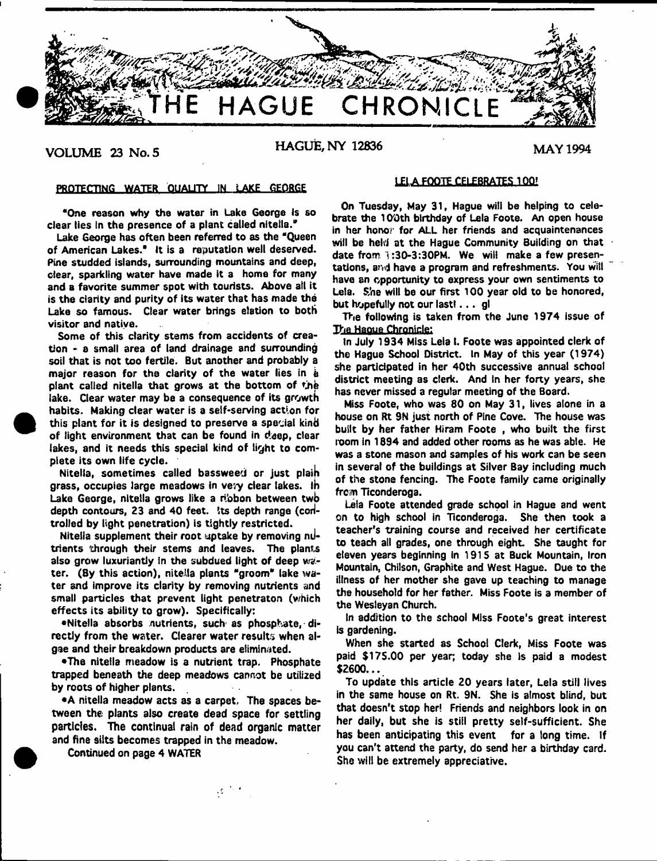

VOLUME 23 No. 5 **HAGUE, NY 12836** MAY 1994

# **PROTECTING WATER QUALITY IN LAKE GEORGE**

**"One reason why the water in Lake George Is so clear lies in the presence of a plant called nitella."**

**Lake George has often been referred to as the "Queen of American Lakes." It is a reputation well deserved. Pine studded islands, surrounding mountains and deep, clear, sparkling water have made It a home for many and a favorite summer spot with tourists. Above ail it is the clarity and purity of its water that has made the Lake so famous. Clear water brings elation to both visitor and native.**

**Some of this clarity stems from accidents of creation - a small area of land drainage and surrounding soil that is not too fertile. But another and probably a major reason for the clarity of the water lies in k** plant called nitella that grows at the bottom of the **lake. Clear water may be a consequence of its growth habits. Making clear water is a self-serving action for this plant for it is designed to preserve a special kind of light environment that can be found in deep, clear lakes, and it needs this special kind of light to complete its own life cycle.**

Nitella, sometimes called bassweed or just plain **grass, occupies large meadows in vevy dear lakes, ih Lake George, nitella grows like a ribbon between twb depth contours, 23 and 40 feet. !ts depth range (codtrolled by light penetration) is tightly restricted.**

**Nitella supplement their root uptake by removing niltrients through their stems and leaves. The plants also grow luxuriantly In the subdued light of deep water. (By this action), nitella plants "groom" lake water and improve its clarity by removing nutrients and small particles that prevent light penetraton (which effects its ability to grow). Specifically:**

**•Nitella absorbs nutrients, such as phosphate, directly from the water. Clearer water results when algae and their breakdown products are eliminated.**

**•The nitella meadow is a nutrient trap. Phosphate trapped beneath the deep meadows cannot be utilized by roots of higher plants.**

**•A nitella meadow acts as a carpet. The spaces between the plants also create dead space for settling particles. The continual rain of dead organic matter and fine silts becomes trapped in the meadow.**

 $\mathcal{L}^{(1)}$  .

**Continued on page 4 WATER**

# **LELA. FOOTE CELEBRATES 100?**

**On Tuesday, May 31, Hague will be helping to celebrate the 100th birthday of Lela Foote. An open house in her honor for ALL her friends and acquaintenances will be held at the Hague Community Building on that date from i :30-3:30PM. We wilt make a few presentations, and have a program and refreshments. You witl have an opportunity to express your own sentiments to Leta. She will be our first 100 year old to be honored, but hopefully not our last!. . . gl**

**The following is taken from the June 1974 issue of Tha Haoue Chronicle:**

In July 1934 Miss Leia I. Foote was appointed clerk of **the Hague School District. In May of this year (1974) she participated in her 40th successive annual school** district meeting as clerk. And in her forty years, she **has never missed a regular meeting of the Board.**

**Miss Foote, who was 80 on May 31, lives alone in a house on Rt 9N just north of Pine Cove. The house was built by her father Hiram Foote , who built the first room in 1894 and added other rooms as he was able. He was a stone mason and samples of his work can be seen in several of the buildings at Silver Bay including much of the stone fencing. The Foote family came originally frcan Ticonderoga.**

**Lela Foote attended grade school in Hague and went on to high school in Ticonderoga. She then took a teacher's training course and received her certificate to teach ail grades, one through eight. She taught for eleven years beginning In 1915 at Buck Mountain, Iron Mountain, Chilson, Graphite and West Hague. Due to the illness of her mother she gave up teaching to manage the household for her father. Miss Foote is a member of the Wesleyan Church.**

**In addition to the school Miss Foote's great interest is gardening.**

**When she started as School Clerk, Miss Foote was paid \$175.00 per year; today she is paid a modest \$2600...**

**To update this article 20 years later, Lela still lives in the same house on Rt. 9N. She is almost blind, but that doesn't stop her! Friends and neighbors look in on her daily, but she is still pretty self-sufficient. She has been anticipating this event for a long time, if you can't attend the party, do send her a birthday card. She will be extremely appreciative.**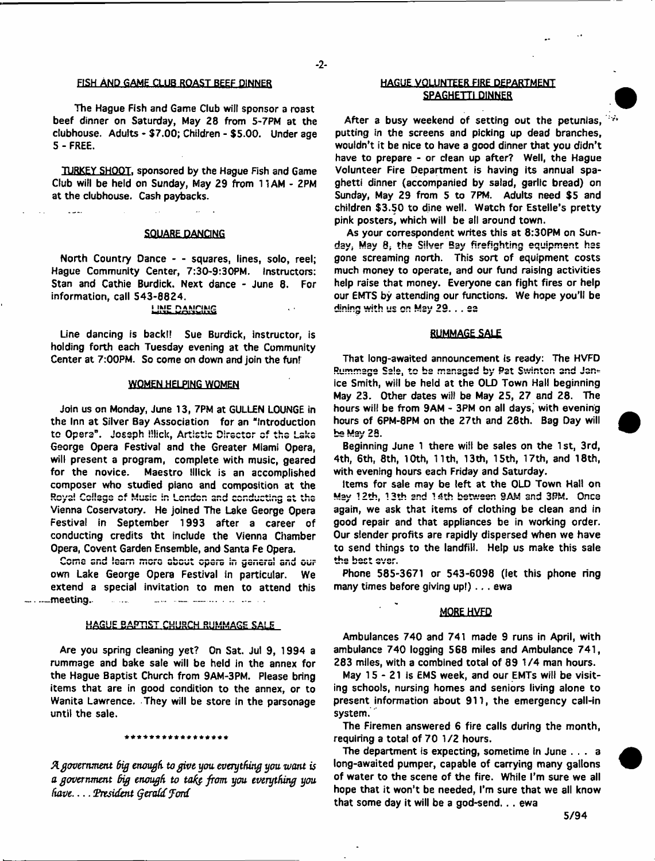#### FISH AND GAME CLUB ROAST BEEF DINNER

**The Hague Fish and Game Club will sponsor a roast beef dinner on Saturday, May 28 from 5-7PM at the clubhouse. Adults - \$7.00; Children - \$5.00. Under age 5 - FREE.**

**TURKEY SHOOT, sponsored by the Hague Fish and Game Club will be held on Sunday, May 29 from 11AM - 2PM at the clubhouse. Cash paybacks.**

## **SQUARE DANCING**

للمساعا

**North Country Dance - - squares, lines, solo, reel; Hague Community Center, 7:30-9:30PM. Instructors: Stan and Cathie Burdick. Next dance - June 8. For information, call 543-8824.**

# **i imc danicing**

**Line dancing is back!? Sue Burdick, instructor, is holding forth each Tuesday evening at the Community Center at 7:00PM. So come on down and join the fun!**

## **WOMEN HELPING WOMEN**

**Join us on Monday, June 13, 7PM at GULLEN LOUNGE in the Inn at Silver Bay Association for an "Introduction** to Opera". Joseph illick, Artistic Director of the Lake **George Opera Festival and the Greater Miami Opera, will present a program, complete with music, geared for the novice. Maestro lllick is an accomplished composer who studied piano and composition at the** Royal College of Music in London and conducting at the **Vienna Coservatory. He joined The Lake George Opera Festival in September 1993 after a career of conducting credits tht include the Vienna Chamber Opera, Covent Garden Ensemble, and Santa Fe Opera.**

**Come end Icem more about opera in general and our own Lake George Opera Festival in particular. We extend a special invitation to men to attend this -meeting .. — — ....... . -**

# **UBART CHURCH RUMMAGE SALE**

**Are you spring cleaning yet? On Sat. Jul 9, 1994 a rummage and bake sale will be held in the annex for the Hague Baptist Church from 9AM-3PM. Please bring items that are in good condition to the annex, or to Wanita Lawrence. They will be store in the parsonage until the sale.**

#### \*\*\*\*\*\*\*\*\*\*\*\*\*\*\*\*\*

*A government big enough to give you. everything you. want is a government big enough to tafy from you everything you have President Qeraid Jord*

## **HAGUE VOLUNTEER FIRE DEPARTMENT SPAGHETTI DINNER**

**After a busy weekend of setting out the petunias, putting in the screens and picking up dead branches, wouldn't it be nice to have a good dinner that you didn't have to prepare - or clean up after? Well, the Hague Volunteer Fire Department is having its annual spaghetti dinner (accompanied by salad, garlic bread) on Sunday, May 29 from 5 to 7PM. Adults need \$5 and children \$3.50 to dine well. Watch for Estelle's pretty pink posters, which will be all around town.**

**As your correspondent writes this at 8:30PM on Sun**day, May 8, the Silver Bay firefighting equipment has **gone screaming north. This sort of equipment costs much money to operate, and our fund raising activities help raise that money. Everyone can fight fires or help our EMTS by attending our functions. We hope you'll be dining with us on May 29. . . ea** 

## **RUMMAGE SALE**

**That long-awaited announcement is ready: The HVFD** Rummage Sale, to be managed by Pat Swinton and Jan**ice Smith, will be held at the OLD Town Hall beginning May 23. Other dates will be May 25, 27 and 28. The hours will be from 9AM - 3PM on all days, with evening hours of 6PM-8PM on the 27th and 28th. Bag Day will bs Msy 28.**

**Beginning June 1 there will be sales on the 1 st, 3rd, 4th, 6th, 8th, 10th, 11th, 13th, 15th, 17th, and 18th, with evening hours each Friday and Saturday.**

**Items for sale may be left at the OLD Town Hall on** Maw 1**2th, 13th end 14th between SAM snd 3PM. Once again, we ask that items of clothing be clean and in good repair and that appliances be in working order. Our slender profits are rapidly dispersed when we have to send things to the landfill. Help us make this sale** the best ever.

**Phone 585-3671 or 543-6098 (let this phone ring many times before giving up!) . . . ewa**

#### MORE HVFD

**Ambulances 740 and 741 made 9 runs in April, with ambulance 740 logging 568 miles and Ambulance 741, 283 miles, with a combined total of 89 1/4 man hours.**

**May 1 5 -2 1 is EMS week, and our EMTs will be visiting schools, nursing homes and seniors living alone to present information about 911, the emergency call-in system.**

**The Firemen answered 6 fire calls during the month, requiring a total of 70 1/2 hours.**

**The department is expecting, sometime In June . . . a long-awaited pumper, capable of carrying many gallons of water to the scene of the fire. While I'm sure we all hope that it won't be needed, I'm sure that we all know that some day it will be a god-send.. . ewa**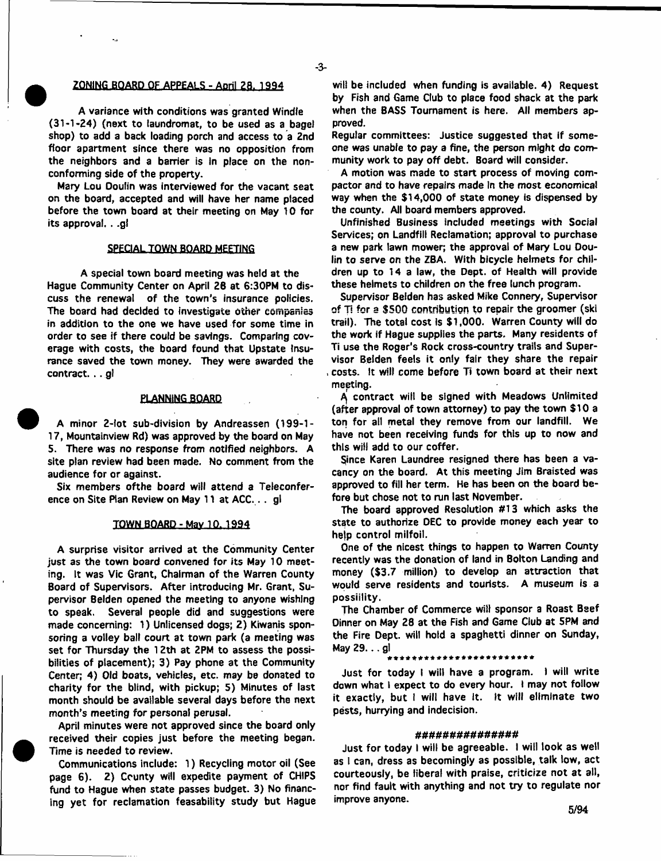## $-3-$

## **( ZONING .BOARD OF APPEALS - April 28. 1994**

**A variance with conditions was granted Windfe (31-1-24) (next to laundromat, to be used as a bagel shop) to add a back loading porch and access to a 2nd floor apartment since there was no opposition from the neighbors and a barrier is in place on the nonconforming side of the property.**

**Mary Lou Doufin was interviewed for the vacant seat on the board, accepted and will have her name placed before the town board at their meeting on May 10 for its approval. . .g!**

# **SPECIALTOWN BOARD MEETING**

**A special town board meeting was held at the Hague Community Center on April 26 at 6:30PM to discuss the renewal of the town's insurance policies. The board had decided to investigate other companies in addition to the one we have used for some time in order to see if there could be savings. Comparing coverage with costs, the board found that Upstate Insurance saved the town money. They were awarded the contract. .. gl**

## **ElANNING BOARD**

**A minor 2-lot sub-division by Andreassen (199-1- 17, Mountainview Rd) was approved by the board on May 5. There was no response from notified neighbors. A site plan review had been made. No comment from the audience for or against.**

**Six members of the board will attend a Teleconference on Site Plan Review on May 11 at ACC.. . gl**

#### **TQffN BQABD - May.lk.1994**

**A surprise visitor arrived at the Community Center just as the town board convened for its May 10 meeting. it was Vic Grant, Chairman of the Warren County Board of Supervisors. After introducing Mr. Grant, Supervisor Belden opened the meeting to anyone wishing to speak. Several people did and suggestions were made concerning: 1) Unlicensed dogs; 2) Kiwanis sponsoring a volley ball court at town park (a meeting was set for Thursday the 12th at 2PM to assess the possibilities of placement); 3) Pay phone at the Community Center; 4) Old boats, vehicles, etc. may be donated to charity for the blind, with pickup; 5) Minutes of last month should be available several days before the next month's meeting for personal perusal.**

**April minutes were not approved since the board only received their copies just before the meeting began. Time is needed to review.**

**Communications include: 1) Recycling motor oil (See page 6). 2) County will expedite payment of CHIPS fund to Hague when state passes budget. 3) No financing yet for reclamation feasability study but Hague**

**will be included when funding is available. 4) Request by Fish and Game Club to place food shack at the park when the BASS Tournament is here. All members approved.**

**Regular committees: Justice suggested that if someone was unabfe to pay a fine, the person might do community work to pay off debt. Board will consider.**

**A motion was made to start process of moving compactor and to have repairs made In the most economical way when the \$14,000 of state money is dispensed by the county. All board members approved.**

**Unfinished Business included meetings with Social Services; on Landfill Reclamation; approval to purchase a new park lawn mower, the approval of Mary Lou Doulin to serve on the ZBA. With bicycle helmets for children up to 14 a law, the Dept, of Health will provide these helmets to children on the free lunch program.**

**Supervisor Belden has asked Mike Connery, Supervisor of Ti for a \$500 contribution to repair the groomer (ski trail). The total cost Is \$1,000. Warren County will do the work if Hague supplies the parts. Many residents of Ti use the Roger's Rock cross-country trails and Supervisor Belden feels it only fair they share the repair , costs. It will come before Ti town board at their next meeting.**

**contract will be signed with Meadows Unlimited (after approval of town attorney) to pay the town \$10 a ton for all metal they remove from our landfill. We have not been receiving funds for this up to now and this will add to our coffer.**

**Since Karen Laundree resigned there has been a vacancy on the board. At this meeting Jim Braisted was approved to fill her term. He has been on the board before but chose not to run last November.**

**The board approved Resolution #13 which asks the state to authorize DEC to provide money each year to hejp control milfoil.**

**One of the nicest things to happen to Warren County recently was the donation of land in Bolton Landing and money (\$3.7 million) to develop an attraction that would serve residents and tourists. A museum is a possiility.**

**The Chamber of Commerce will sponsor a Roast Beef Dinner on May 28 at the Fish and Game Club at 5PM and the Fire Dept, will hold a spaghetti dinner on Sunday, May 29...gl** 

**Just for today I will have a program. I will write down what 1 expect to do every hour. I may not follow it exactly, but I will have It. It will eliminate two pests, hurrying and indecision.**

#### *m n m n m u u n m n n*

**Just for today I will be agreeable. I will look as well as 1 can, dress as becomingly as possible, talk low, act courteously, be liberal with praise, criticize not at ail, nor find fault with anything and not try to regulate nor improve anyone.**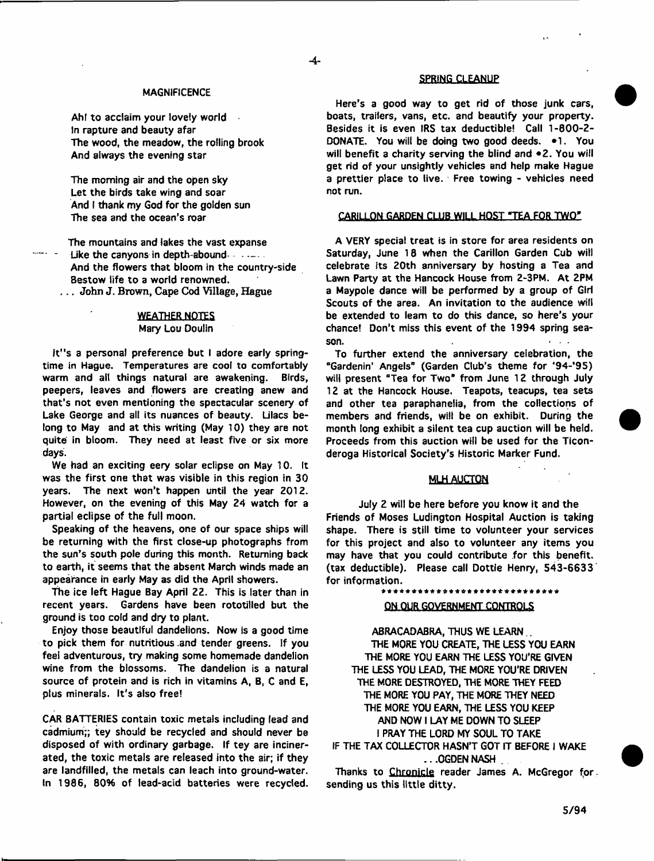#### **MAGNIFICENCE**

**Ah! to acclaim your lovely world In rapture and beauty afar The wood, the meadow, the rolling brook And always the evening star**

**The morning air and the open sky Let the birds take wing and soar And I thank my God for the golden sun The sea and the ocean's roar**

**The mountains and lakes the vast expanse** Like the canyons in depth-abound **Alonese Like the canyons in depth-abound And the flowers that bloom in the country-side Bestow life to a world renowned.** . . . John J. Brown, Cape Cod Village, Hague

## **WEATHER NOTES Mary Lou Doulin**

**it"s a personal preference but I adore early springtime in Hague. Temperatures are cool to comfortably warm and ait things natural are awakening. Birds, peepers, leaves and flowers are creating anew and that's not even mentioning the spectacular scenery of Lake George and ali its nuances of beauty. Lilacs belong to May and at this writing (May 10) they are not quite in bloom. They need at least five or six more days.**

**We had an exciting eery solar eclipse on May 10. It was the first one that was visible in this region in 30 years. The next won't happen until the year Z012. However, on the evening of this May 24 watch for a partial eclipse of the full moon.**

**Speaking of the heavens, one of our space ships will be returning with the first close-up photographs from the sun's south pole during this month. Returning back to earth, it seems that the absent March winds made an appearance in early May as did the April showers.**

The ice left Hague Bay April 22. This is later than in **recent years. Gardens have been rototilled but the ground is too cold and dry to plant.**

**Enjoy those beautiful dandelions. Now is a good time to pick them for nutritious .and tender greens. If you fee! adventurous, try making some homemade dandelion wine from the blossoms. The dandelion is a natural source of protein and is rich in vitamins A, B, C and E, plus minerals. It's also free!**

**CAR BATTERIES contain toxic metals including lead and cadmium;; tey should be recycled and should never be disposed of with ordinary garbage. If tey are incinerated, the toxic metals are released into the air; if they are landfilled, the metals can leach into ground-water. In 1986, 80% of lead-acid batteries were recycled.**

## SPRING CLEANUP

**Here's a good way to get rid of those junk cars, boats, trailers, vans, etc. and beautify your property. Besides it is even IRS tax deductible! Call 1-800-2- DONATE. You will be doing two good deeds. \*1. You will benefit a charity serving the blind and \*2 . You will get rid of your unsightly vehicles and help make Hague a prettier place to live. Free towing - vehicles need not run.**

## CARILLON GARDEN CLUB WILL HOST "TEA FOR TWO"

**A VERY special treat is in store for area residents on Saturday, June 18 when the Carillon Garden Cub will celebrate its 20th anniversary by hosting a Tea and Lawn Party at the Hancock House from 2-3PM. At 2PM a Maypole dance will be performed by a group of Girl Scouts of the area. An invitation to the audience will be extended to leam to do this dance, so here's your chance! Don't miss this event of the 1994 spring season. -**

**To further extend the anniversary celebration, the "Gardenin' Angels" (Garden Club's theme for \*94-'95) will present "Tea for Two\* from June 12 through July 12 at the Hancock House. Teapots, teacups, tea sets and other tea paraphanelia, from the collections of members and friends, wilt be on exhibit. During the month long exhibit a silent tea cup auction will be held. Proceeds from this auction will be used for the Ticonderoga Historical Society's Historic Marker Fund.**

## **MLH AUCTQN**

**July 2 will be here before you know it and the Friends of Moses Ludington Hospital Auction is taking shape. There is still time to volunteer your services for this project and also to volunteer any items you may have that you could contribute for this benefit, (tax deductible). Please call Dottle Henry, 543-6633 for information.**

\*\*\*\*\*\*\*\*\*\*\*\*

## **ON.QIIR GOVERNMENT CONTROLS**

**ABRACADABRA, THUS WE LEARN.. THE MORE YOU CREATE, THE LESS YOU EARN THE MORE YOU EARN THE LESS YOU'RE GIVEN THE LESS YOU LEAD, THE MORE YOU'RE DRIVEN THE MORE DESTROYED, THE MORE THEY FEED THE MORE YOU PAY, THE MORE THEY NEED THE MORE YOU EARN, THE LESS YOU KEEP AND NOW I LAY ME DOWN TO SLEEP I PRAY THE LORD MY SOUL TO TAKE**

**IF THE TAX COLLECTOR HASN'T GOT IT BEFORE I WAKE ...OGDENNASH .**

**Thanks to Chronicle reader James A. McGregor for sending us this little ditty.**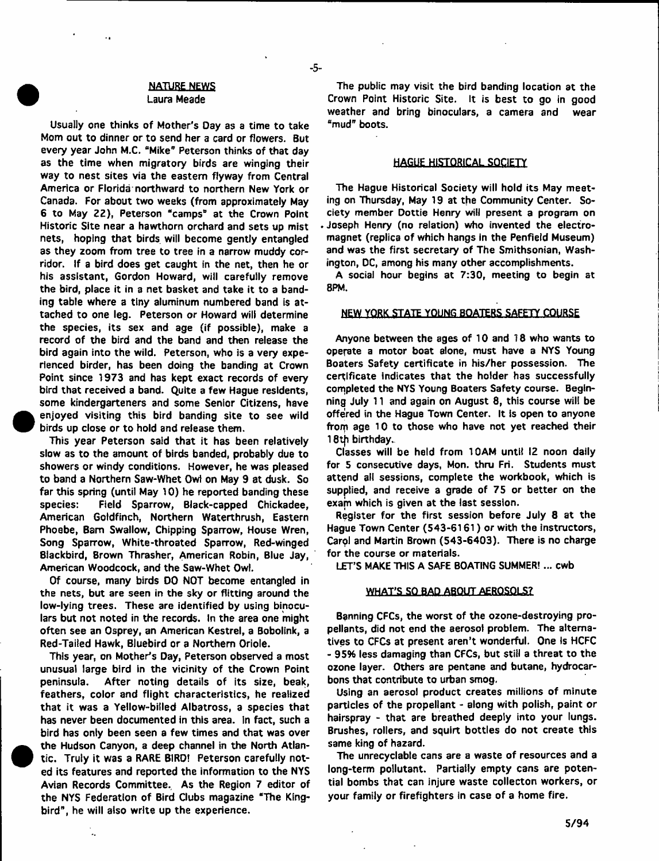## **NATURE NEWS Laura Meade**

 $-5-$ 

**Usually one thinks of Mother's Oay as a time to take Mom out to dinner or to send her a card or flowers. But** every year John M.C. "Mike" Peterson thinks of that day **as the time when migratory birds are winging their way to nest sites via the eastern flyway from Central America or Florida northward to northern New York or Canada. For about two weeks (from approximately May 6 to May 22), Peterson "camps" at the Crown Point Historic Site near a hawthorn orchard and sets up mist nets, hoping that birds will become gently entangled as they zoom from tree to tree in a narrow muddy corridor. If a bird does get caught in the net, then he or his assistant, Gordon Howard, will carefully remove the bird, place it in a net basket and take it to a banding table where a tiny aluminum numbered band is attached to one leg. Peterson or Howard will determine the species, its sex and age (if possible), make a record of the bird and the band and then release the bird again into the wild. Peterson, who is a very experienced birder, has been doing the banding at Crown Point since 1973 and has kept exact records of every bird that received a band. Quite a few Hague residents, some kindergarteners and some Senior Citizens, have enjoyed visiting this bird banding site to see wild birds up close or to hold and release them.**

**This year Peterson said that it has been relatively slow as to the amount of birds banded, probably due to showers or windy conditions. However, he was pleased to band a Northern Saw-Whet Ow) on May 9 at dusk. So far this spring (until May 10) he reported banding these species: Field Sparrow, Black-capped Chickadee, American Goldfinch, Northern Waterthrush, Eastern Phoebe, Bam Swallow, Chipping Sparrow, House Wren, Song Sparrow, White-throated Sparrow, Red-winged Blackbird, Brown Thrasher, American Robin, Blue Jay, American Woodcock, and the Saw-Whet Owl.**

**Of course, many birds DO NOT become entangled in the nets, but are seen in the sky or flitting around the low-lying trees. These are identified by using binoculars but not noted in the records. In the area one might often see an Osprey, an American Kestrel, a Bobolink, a Red-Tailed Hawk, Bluebird or a Northern Oriole.**

**This year, on Mother's Day, Peterson observed a most unusual large bird in the vicinity of the Crown Point peninsula. After noting details of its size, beak, feathers, color and flight characteristics, he realized that it was a Yellow-billed Albatross, a species that has never been documented in this area, in fact, such a bird has only been seen a few times and that was over the Hudson Canyon, a deep channel in the North Atlantic. Truly it was a RARE BIRD! Peterson carefully noted its features and reported the information to the NY5 Avian Records Committee. As the Region 7 editor of the NYS Federation of Bird Clubs magazine "The Kingbird", he will also write up the experience.**

 $\ddot{\phantom{a}}$ 

## **HAGUE HISTORICAL SOCIETY**

**The Hague Historical Society will hold its May meeting on Thursday, May 19 at the Community Center. Society member Dottie Henry will present a program on . Joseph Henry (no relation) who invented the electromagnet (replica of which hangs in the Penfield Museum) and was the first secretary of The Smithsonian, Washington, DC, among his many other accomplishments.**

**A social hour begins at 7:30, meeting to begin at 8PM.**

## **NEW YORK STATE YOUNG BOATERS SAFETY COURSE**

**Anyone between the ages of 10 and 18 who wants to operate a motor boat alone, must have a NYS Young Boaters Safety certificate in his/her possession. The certificate indicates that the holder has successfully completed the NYS Young Boaters Safety course. Beginning July 11 and again on August 8, this course will be offered in the Hague Town Center, It is open to anyone from age 10 to those who have not yet reached their** 18th birthday.

**Classes will be held from 10AM until 12 noon daily for 5 consecutive days, Mon. thru Fri. Students must attend all sessions, complete the workbook, which is supplied, and receive a grade of 75 or better on the exam which is given at the last session.**

**Register for the first session before July 8 at the Hague Town Center (543-6161) or with the instructors, Carol and Martin Brown (543-6403). There is no charge for the course or materials.**

**LET'S MAKE THIS A SAFE BOATING SUMMER! ... cwb**

#### **WHAT'S SO BAD ABOUT AEROSOLS?**

**Banning CFCs, the worst of the ozone-destroying propellants, did not end the aerosol problem. The alternatives to CFCs at present aren't wonderful. One Is HCFC - 95% less damaging than CFCs, but still a threat to the ozone layer. Others are pentane and butane, hydrocarbons that contribute to urban smog.**

**Using an aerosol product creates millions of minute particles of the propellant - along with polish, paint or hairspray - that are breathed deeply into your lungs. Brushes, rollers, and squirt bottles do not create this same king of hazard.**

**The unrecyclabte cans are a waste of resources and a long-term pollutant. Partially empty cans are potential bombs that can injure waste collecton workers, or your family or firefighters in case of a home fire.**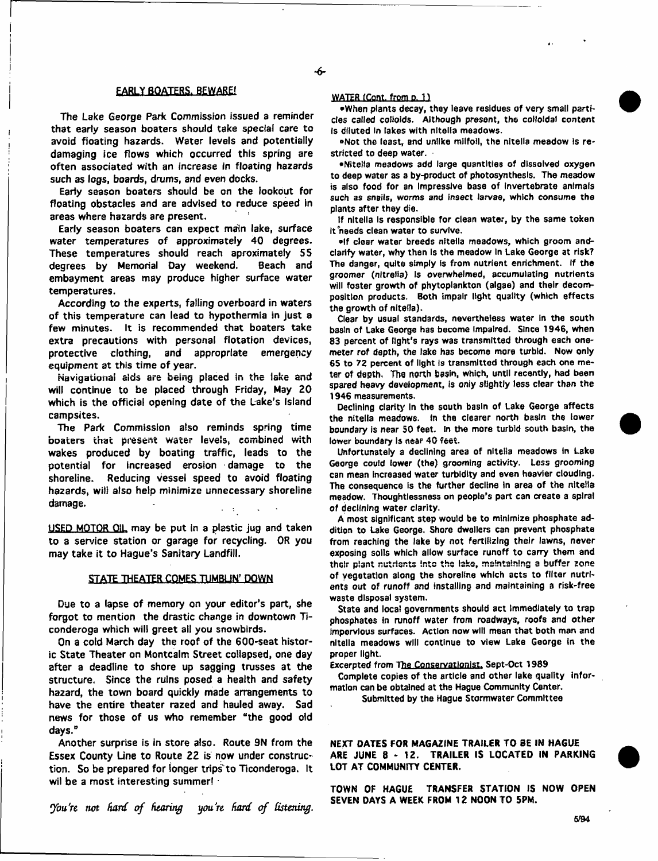## **EARLY BOATERS. BEWARE!**

**The Lake George Park Commission issued a reminder that earty season boaters should take special care to avoid floating hazards. Water levels and potentially damaging ice flows which occurred this spring are often associated with an increase in floating hazards such as logs, boards, drums, and even docks.**

**Earty season boaters should be on the lookout for floating obstacles and are advised to reduce speed in areas where hazards are present.**

**Early season boaters can expect main lake, surface water temperatures of approximately 40 degrees. These temperatures should reach aproximately 55 degrees by Memorial Day weekend. Beach and embayment areas may produce higher surface water temperatures.**

**According to the experts, falling overboard in waters of this temperature can lead to hypothermia in just a few minutes. It is recommended that boaters take extra precautions with personal flotation devices, protective clothing, and appropriate emergency equipment at this time of year.**

**Navigational aids are being placed in the lake and will continue to be placed through Friday, May 20 which is the official opening date of the Lake's Island campsites.**

**The Park Commission also reminds spring time boaters that present water levels, combined with wakes produced by boating traffic, leads to the potential for increased erosion damage to the shoreline. Reducing vessel speed to avoid floating hazards, will also help minimize unnecessary shoreline damage.**

**USED MOTOR OIL may be put in a plastic jug and taken to a service station or garage for recycling. OR you may take it to Hague's Sanitary Landfill.**

## **STATE THEATER COMES TUMBUN' DOWN**

**Due to a lapse of memory on your editor's part, she forgot to mention the drastic change in downtown T» conderoga which will greet all you snowbirds.**

**On a cold March day the roof of the 600-seat historic State Theater on Montcalm Street collapsed, one day after a deadline to shore up sagging trusses at the structure. Since the ruins posed a health and safety hazard, the town board quickly made arrangements to have the entire theater razed and hauled away. Sad news for those of us who remember "the good old days."**

**Another surprise is in store also. Route 3N from the Essex County Line to Route 22 is now under construction. So be prepared for longer trips to Ticonderoga. It wil be a most interesting summer!**

You're not hard of hearing you're hard of listening.

## **WATER fCont. from d. 11**

**•When plants decay, they leave residues of very small particles called colloids. Although present, the colloidal content Is diluted In lakes with nitella meadows.**

**•N ot the least, and unlike milfoil, the nitella meadow Is restricted to deep water.**

**•Nitella meadows add large quantities of dissolved oxygen to deep water as a by-product of photosynthesis. The meadow is also food for an Impressive base of invertebrate animats such as snails, worms** *and* **insect larvae, which consume the plants after they die.**

**If nitella is responsible for clean water, by the same token it needs clean w ater to survive.**

 $e$ If clear water breeds nitella meadows, which groom and**clarify water, why then is the meadow In Lake George at risk? The danger, quite simply is from nutrient enrichment. if the groomer (nltreiia) Is overwhelmed, accumulating nutrients will foster growth of phytoplankton (algae) and their decomposition products. Both impair light quality (which effects the growth of nitella).**

**Clear by usual standards, nevertheless w ater in the south basin of Lake George has become Impaired. Since 1946, when 83 percent of light's rays was transmitted through each onemeter rof depth, the take has become more turbid. Now only 65 to 72 percent of light is transmitted through each one meter of depth. The north basin, which, until recently, had been spared heavy development, is only slightly less clear than the 1946 measurements.**

**Declining clarity In the south basin of Lake George affects the nitella meadows. In the clearer north basin the lower boundary is near 50 feet. In the more turbid south basin, the** lower boundary is near 40 feet.

**Unfortunately a declining area of nitella meadows in Lake George could lower (the) grooming activity. Less grooming can mean increased water turbidity and even heavier clouding. The consequence is the further decline in area of the nitella meadow. Thoughtlessness on people's part can create a spiral** of declining water clarity.

**A most significant step would be to minimize phosphate addition to Lake George. Shore dwellers can prevent phosphate from reaching the lake by not fertilizing their lawns, never exposing soils which allow surface runoff to carry them and their plant nutrients Into the lake, maintaining a buffer zone** of vegetation along the shoreline which acts to filter nutri**ents out of runoff and installing and maintaining a risk-free waste disposal system.**

**State and local governments should act immediately to trap phosphates in runoff water from roadways, roofs and other** Impervious surfaces. Action now will mean that both man and **nitella meadows will continue to view Lake George in the proper light.**

**Excerpted from The Conservationist. Sept-Oct 1989**

**Complete copies of the article and other lake quality Information can be obtained at the Hague Community Center.**

**Submitted by the Hague Stormwater Committee**

**NEXT DATES FOR MAGAZINE TRAILER TO BE IN HAGUE ARE JUNE 8-12. TRAILER IS LOCATED IN PARKING LOT AT COMMUNITY CENTER.**

**TOWN OF HAGUE TRANSFER STATION IS NOW OPEN SEVEN DAYS A WEEK FROM 12 NOON TO 5PM.**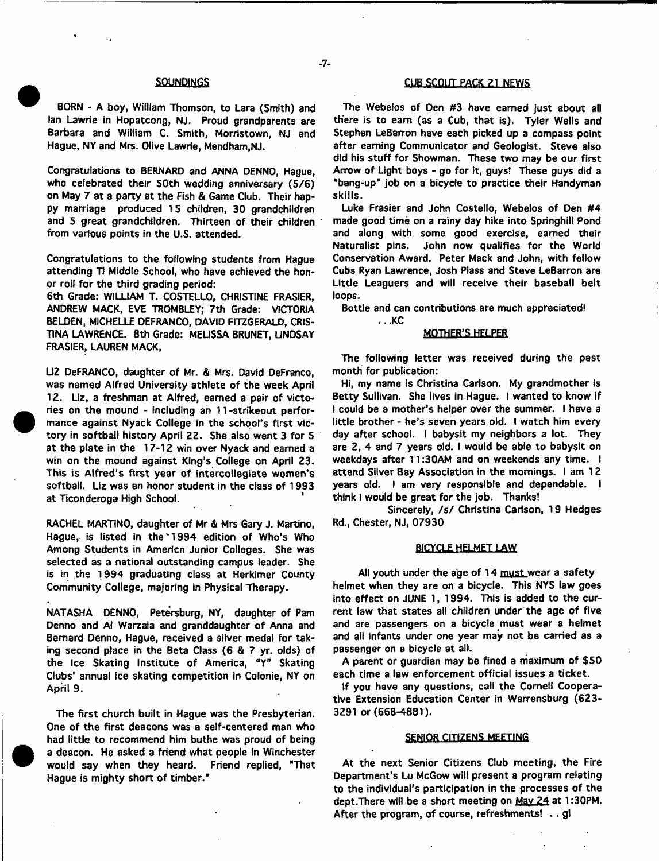**BORN - A boy, William Thomson, to Lara (Smith) and Ian Lawrie in Hopatcong, NJ. Proud grandparents are Barbara and William C. Smith, Morristown, NJ and Hague, NY and Mrs. Olive Lawrie, Mendham,NJ.**

**Congratulations to BERNARD and ANNA DENNO, Hague,** who celebrated their 50th wedding anniversary (5/6) **on May 7 at a party at the Fish & Game Club. Their happy marriage produced 15 children, 30 grandchildren and 5 great grandchildren. Thirteen of their children from various points in the U.S. attended.**

**Congratulations to the foflowing students from Hague attending Ti Middle School, who have achieved the honor roil for the third grading period:**

**6th Grade: WILLIAM T. COSTELLO, CHRISTINE FRASIER, ANDREW MACK, EVE TROMBLEY; 7th Grade: VICTORIA BELDEN, MICHELLE DEFRANCO, DAVID FITZGERALD, CRIS-TINA LAWRENCE. 8th Grade: MEUSSA BRUNET, LINDSAY FRASIER, LAUREN MACK,**

**UZ DeFRANCO, daughter of Mr. & Mrs. David DeFranco, was named Alfred University athlete of the week April 12. Liz, a freshman at Alfred, earned a pair of victories on the mound - including an 11-strikeout performance against Nyack College in the school's first victory in softball history April 22. She also went 3 for 5 at the plate in the 17-12 win over Nyack and earned a win on the mound against King's College on April 23. This is Alfred's first year of intercollegiate women's softball. Liz was an honor student in the class of 1993 at Ticonderoga High School.**

**RACHEL MARTINO, daughter of Mr & Mrs Gary J. Martino,** Hague, is listed in the 1994 edition of Who's Who **Among Students in Americn Junior Colleges. She was selected as a national outstanding campus leader. She is in the 1994 graduating class at Herkimer County Community College, majoring in Physical Therapy.**

**NATASHA DENNO, Petersburg, NY, daughter of Pam Denno and Al Warzala and granddaughter of Anna and Bernard Denno, Hague, received a silver medal for taking second place in the Beta Class (6 & 7 yr. olds) of the Ice Skating Institute of America, \*Y" Skating Clubs' annual Ice skating competition in Colonie, NY on April 9.**

**The first church built in Hague was the Presbyterian. One of the first deacons was a self-centered man who had little to recommend him buthe was proud of being a deacon. He asked a friend what people in Winchester would say when they heard. Friend replied, "That Hague is mighty short of timber."**

# SOUNDINGS **CUB SCOUT PACK 21 NEWS**

**The Webeios of Den #3 have earned just about all there is to earn (as a Cub, that is). Tyler Wells and Stephen LeBarron have each picked up a compass point after earning Communicator and Geologist. Steve also did his stuff for Showman. These two may be our first Arrow of Light boys - go for it, guys\* These guys did a "bang-up" job on a bicycle to practice their Handyman skills.**

**Luke Frasier and John Costello, Webeios of Den #4 made good time on a rainy day hike into Springhill Pond and along with some good exercise, earned their Naturalist pins. John now qualifies for the World Conservation Award. Peter Mack and John, with fellow Cubs Ryan Lawrence, Josh Plass and Steve LeBarron are Little Leaguers and will receive their baseball belt loops.**

**Bottle and can contributions are much appreciated!**

**...KC**

## **MOTHER'S HELPER**

**The following letter was received during the past month for publication:**

**Hi, my name is Christina Carlson. My grandmother is Betty Sullivan. She lives in Hague. I wanted to know if I could be a mother's helper over the summer. I have a tittle brother - he's seven years old. I watch him every day after school. I babysit my neighbors a lot. They are 2, 4 and 7 years old. I would be able to babysit on weekdays after 11:30AM and on weekends any time. I attend Silver Bay Association in the mornings. I am 1 2 years old. I am very responsible and dependable. I think 1 would be great for the job. Thanks!**

Sincerely, /s/ Christina Carlson, 19 Hedges **Rd., Chester, NJ, 07930**

#### BICYCLE HELMET LAW

**All youth under the age of 14 must wear a safety helmet when they are on a bicycle. This NYS law goes into effect on JUNE 1, 1994. This is added to the current law that states all children under the age of five and are passengers on a bicycle must wear a helmet and all infants under one year may not be carried as a passenger on a bicycle at all.**

**A parent or guardian may be fined a maximum of \$50 each time a law enforcement official issues a ticket.**

**If you have any questions, call the Cornell Cooperative Extension Education Center in Warrensburg (623- 3291 or (668-4881).**

## **SENIOR CITIZENS MEETING**

**At the next Senior Citizens Club meeting, the Fire Department's Lu McGow will present a program relating to the individual's participation in the processes of the dept.There will be a short meeting on Mav 24 at 1:30PM. After the program, of course, refreshments! . . gl**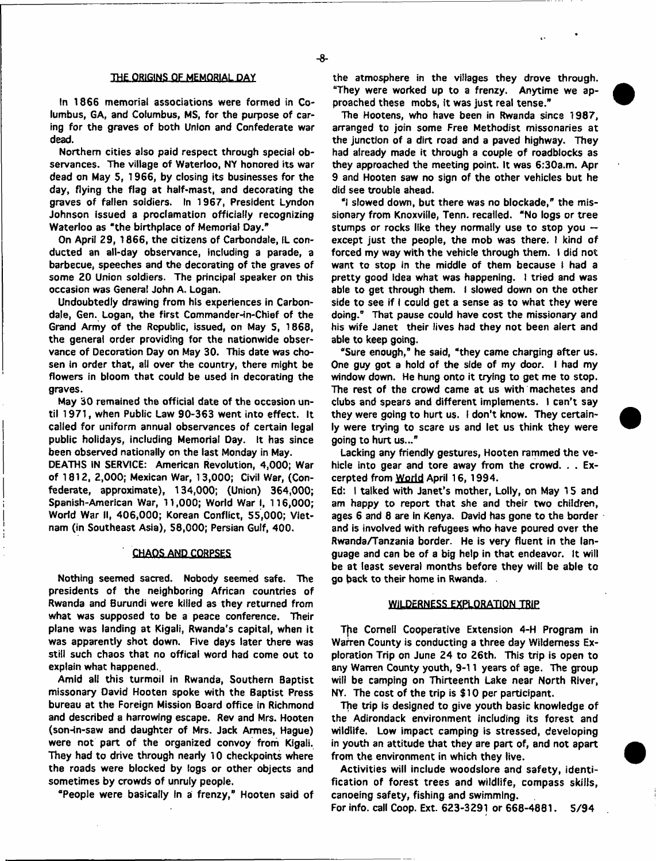#### **THE ORIGINS OF MEMORIAL DAY**

**In 1866 memorial associations were formed in Columbus, GA, and Columbus, MS, for the purpose of caring for the graves of both Union and Confederate war dead.**

**Northern cities also paid respect through special observances. The village of Waterloo, NY honored its war dead on May 5, 1966, by closing its businesses for the day, flying the flag at half-mast, and decorating the graves of fallen soldiers. In 1967, President Lyndon Johnson issued a proclamation officially recognizing Waterloo as ' the birthplace of Memorial Day."**

**On April 29, 1866, the citizens of Carbondale, IL conducted an all-day observance, including a parade, a barbecue, speeches and the decorating of the graves of some 20 Union soldiers. The principal speaker on this occasion was Genera! John A. Logan.**

**Undoubtedly drawing from his experiences in Carbon**dale, Gen. Logan, the first Commander-in-Chief of the **Grand Army of the Republic, issued, on May S, 1868, the general order providing for the nationwide observance of Decoration Day on May 30. This date was cho**sen in order that, all over the country, there might be **flowers in bloom that could be used in decorating the graves.**

**May 30 remained the official date of the occasion until 1971, when Public Law 90-363 went into effect. It called for uniform annual observances of certain legal public holidays, including Memorial Day. It has since been observed nationally on the last Monday in May.**

**DEATHS IN SERVICE: American Revolution, 4,000; War of 1812, 2,000; Mexican War, 13,000; Civil War, (Confederate, approximate), 134,000; (Union) 364,000; Spanish-American War, 11,000; World War I, 116,000; World War II, 406,000; Korean Conflict, 55,000; Vietnam (in Southeast Asia), 58,000; Persian Gulf, 400.**

## **CHAOS AND CORPSES**

**Nothing seemed sacred. Nobody seemed safe. The presidents of the neighboring African countries of Rwanda and Burundi were killed as they returned from what was supposed to be a peace conference. Their plane was landing at Kigali, Rwanda's capital, when it was apparently shot down. Five days later there was still such chaos that no offical word had come out to explain what happened..**

**Amid alt this turmoil in Rwanda, Southern Baptist missonary David Hooten spoke with the Baptist Press bureau at the Foreign Mission Board office in Richmond and described a harrowing escape. Rev and Mrs. Hooten (son-in-saw and daughter of Mrs. Jack Armes, Hague) were not part of the organized convoy from Kigali. They had to drive through nearly 10 checkpoints where the roads were blocked by logs or other objects and sometimes by crowds of unruly people.**

**"People were basically In a frenzy," Hooten said of**

**the atmosphere in the villages they drove through. "They were worked up to a frenzy. Anytime we approached these mobs, it was just real tense."**

**The Hootens, who have been in Rwanda since 1987, arranged to join some Free Methodist missonaries at the junction of a dirt road and a paved highway. They had already made it through a couple of roadblocks as they approached the meeting point. It was 6;30a.m. Apr 9 and Hooten saw no sign of the other vehicles but he did see trouble ahead.**

**"I slowed down, but there was no blockade," the missionary from Knoxville, Tenn. recalled. "No logs or tree stumps or rocks like they normally use to stop you except just the people, the mob was there. I kind of forced my way with the vehicle through them, f did not** want to stop in the middle of them because I had a **pretty good Idea what was happening. I tried and was able to get through them. I slowed down on the other side to see if I could get a sense as to what they were doing." That pause could have cost the missionary and his wife Janet their lives had they not been alert and able to keep going.**

**"Sure enough," he said, "they came charging after us. One guy got a hold of the side of my door. I had my window down. He hung onto it trying to get me to stop. The rest of the crowd came at us with machetes and clubs and spears and different implements. I can't say they were going to hurt us. I don't know. They certainly were trying to scare us and let us think they were going to hurt us..."**

**Lacking any friendly gestures, Hooten rammed the vehicle into gear and tore away from the crowd. . . Excerpted from World April 16, 1994.**

**Ed: I talked with Janet's mother, Lolly, on May 15 and am happy to report that she and their two children, ages 6 and 8 are in Kenya. David has gone to the border and is involved with refugees who have poured over the Rwanda/Tanzania border. He is very fluent in the language and can be of a big help in that endeavor. It will be at least several months before they will be able to go back to their home in Rwanda.**

## **WILDERNESS EXPLORATION TRIP**

**Tfie Cornell Cooperative Extension 4-H Program in Warren County is conducting a three day Wilderness Exploration Trip on June 24 to 26th. This trip is open to any Warren County youth, 9-11 years of age. The group will be camping on Thirteenth Lake near North River, NY. The cost of the trip is \$10 per participant.**

**The trip is designed to give youth basic knowledge of the Adirondack environment including its forest and wildlife. Low impact camping is stressed, developing in youth an attitude that they are part of, and not apart from the environment in which they live.**

**Activities will include woodslore and safety, identification of forest trees and wildlife, compass skills, canoeing safety, fishing and swimming.**

**For info, call Coop. Ext. 623-3291 or 668-4881. 5/9 4**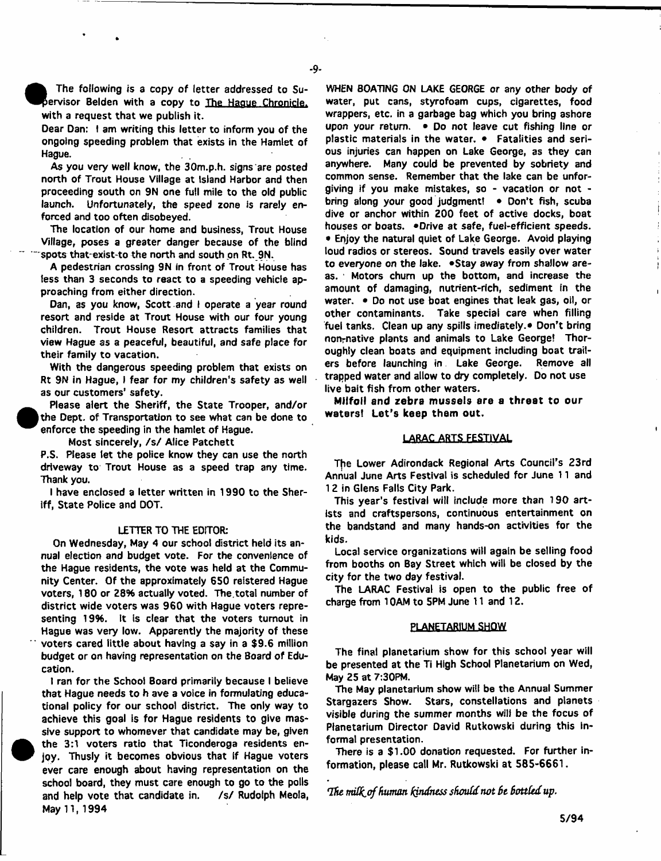**The following is a copy of letter addressed to Su- ^ ^ e rv is o r Belden with a copy to The Hague Chronicle. with a request that we publish it.**

**Dear Dan: f am writing this letter to inform you of the ongoing speeding problem that exists in the Hamlet of Hague.**

**As you very well know, the 30m.p.h. signs are posted north of Trout House Village at Island Harbor and then proceeding south on 9N one full mile to the old public launch. Unfortunately, the speed zone is rarely enforced and too often disobeyed.**

**The location of our home and business, Trout House Village, poses a greater danger because of the blind ~ " spots thatexist-to the north and south pn Rt. 9N.**

**A pedestrian crossing 9N in front of Trout House has less than 3 seconds to react to a speeding vehicle approaching from either direction.**

**Dan, as you know, Scott and I operate a year round resort and reside at Trout House with our four young children. Trout House Resort attracts families that view Hague as a peaceful, beautiful, and safe place for their family to vacation.**

**With the dangerous speeding problem that exists on Rt 9N in Hague, I fear for my children's safety as well as our customers' safety.**

 **Please alert the Sheriff, the State Trooper, and/or the Dept, of Transportation to see what can be done to enforce the speeding in the hamlet of Hague.**

Most sincerely, /s/ Alice Patchett

 $\bullet$ 

<sup>•</sup>

**P.S. Please let the police know they can use the north driveway to Trout House as a speed trap any time. Thank you.**

**I have enclosed a letter written in 1990 to the Sheriff, State Police and DOT.**

#### **LETTER TO THE EDITOR:**

**On Wednesday, May 4 our school district held its annual election and budget vote. For the convenience of the Hague residents, the vote was held at the Community Center. Of the approximately 6S0 refstered Hague** voters, 180 or 28% actually voted. The total number of **district wide voters was 960 with Hague voters representing 19%. It is clear that the voters turnout in Hague was very low. Apparently the majority of these " voters cared little about having a say in a \$9.6 million budget or on having representation on the Board of Education.**

**I ran for the School Board primarily because I believe that Hague needs to h ave a voice in formulating educational policy for our school district. The only way to achieve this goal is for Hague residents to give massive support to whomever that candidate may be, given the 3:1 voters ratio that Ticonderoga residents enjoy. Thusly it becomes obvious that If Hague voters ever care enough about having representation on the school board, they must care enough to go to the polls** and help vote that candidate in. /s/ Rudolph Meola, **May 11,1994**

**WHEN BOATING ON LAKE GEORGE or any other body of water, put cans, styrofoam cups, cigarettes, food wrappers, etc. in a garbage bag which you bring ashore upon your return. • Do not leave cut fishing line or plastic materials in the water. • Fatalities and serious injuries can happen on Lake George, as they can anywhere. Many could be prevented by sobriety and common sense. Remember that the lake can be unforgiving if you make mistakes, so - vacation or not bring along your good judgment! • Don't fish, scuba dive or anchor within 200 feet of active docks, boat houses or boats. \*Drive at safe, fuel-efficient speeds. • Enjoy the natural quiet of Lake George. Avoid playing loud radios or stereos. Sound travels easily over water** to everyone on the lake. . Stay away from shallow are**as. 1 Motors chum up the bottom, and increase the amount of damaging, nutrient-rich, sediment in the water. • Do not use boat engines that leak gas, oil, or other contaminants. Take special care when filling** fuel tanks. Clean up any spills imediately.<sup>•</sup> Don't bring **nonrnative plants and animals to Lake George! Thoroughly clean boats and equipment including boat trailers before launching in Lake George. Remove all trapped water and allow to dry completely. Do not use live bait fish from other waters.**

**Milfoil and zebra mussels are a threat to our waters! Let's keep them out.**

## **LARAC ARTS FESTIVAL**

**T[ie Lower Adirondack Regional Arts Council's 23rd Annual June Arts Festival is scheduled for June 11 and 12 in Glens Falls City Park.**

**This year's festival will include more than 190 artists and crafts persons, continuous entertainment on the bandstand and many hands-on activities for the kids.**

**Local service organizations will again be selling food from booths on Bay Street which will be closed by the city for the two day festival.**

**The LARAC Festival is open to the public free of charge from 10AM to 5PM June 11 and 12.**

#### **PLANETARIUM SHOW**

**The final planetarium show for this school year will be presented at the Ti High School Planetarium on Wed, May 25 at 7:30PM.**

**The May planetarium show will be the Annual Summer Stargazers Show. Stars, constellations and planets visible during the summer months will be the focus of Planetarium Director David Rutkowski during this informal presentation.**

**There is a \$1.00 donation requested. For further information, please call Mr. Rutkowski at 585-6661.**

*The rmlfoof human fondness should not St Bottled up***.**